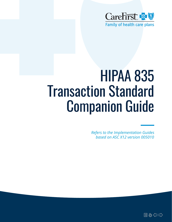

# HIPAA 835 Transaction Standard Companion Guide

*Refers to the Implementation Guides based on ASC X12 version 005010* 

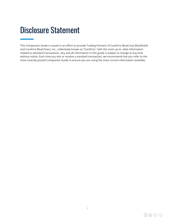# <span id="page-1-0"></span>Disclosure Statement

This Companion Guide is issued in an effort to provide Trading Partners of CareFirst BlueCross BlueShield and CareFirst BlueChoice, Inc., collectively known as "CareFirst," with the most up-to- date information related to standard transactions. Any and all information in this guide is subject to change at any time without notice. Each time you test or receive a standard transaction, we recommend that you refer to the most recently posted Companion Guide to ensure you are using the most current information available.

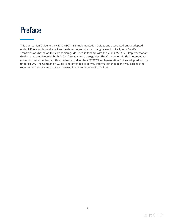# <span id="page-2-0"></span>Preface

This Companion Guide to the v5010 ASC X12N Implementation Guides and associated errata adopted under HIPAA clarifies and specifies the data content when exchanging electronically with CareFirst. Transmissions based on this companion guide, used in tandem with the v5010 ASC X12N Implementation Guides, are compliant with both ASC X12 syntax and those guides. This Companion Guide is intended to convey information that is within the framework of the ASC X12N Implementation Guides adopted for use under HIPAA. The Companion Guide is not intended to convey information that in any way exceeds the requirements or usages of data expressed in the Implementation Guides.

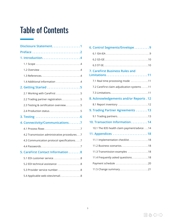# Table of Contents

| Disclosure Statement. 1                     |
|---------------------------------------------|
|                                             |
|                                             |
|                                             |
|                                             |
|                                             |
| 1.4 Additional information 4                |
|                                             |
| 2.1 Working with CareFirst 5                |
| 2.2 Trading partner registration5           |
| 2.3 Testing & certification overview5       |
| 2.4 Production status5                      |
|                                             |
| 4. Connectivity/Communications. 7           |
|                                             |
| 4.2 Transmission administrative procedures7 |
| 4.3 Communication protocol specifications 7 |
|                                             |
| 5. CareFirst Contact Information 8          |
| 5.1 EDI customer service8                   |
| 5.2 EDI technical assistance 8              |
| 5.3 Provider service number8                |
| 5.4 Applicable web-sites/email8             |

| 6. Control Segments/Envelope 9              |
|---------------------------------------------|
|                                             |
|                                             |
|                                             |
| <b>7. CareFirst Business Rules and</b>      |
| 7.1 Real time processing mode 11            |
| 7.2 CareFirst claim adjudication systems 11 |
|                                             |
| 8. Acknowledgements and/or Reports . 12     |
| 8.1 Report inventory 12                     |
| 9. Trading Partner Agreements 13            |
|                                             |
| 10. Transaction Information 14              |
| 10.1 The 835 health claim payment/advice 14 |
| 11. Appendices 18                           |
| 11.1 Implementation checklist 18            |
|                                             |
| 11.3 Transmission examples 18               |
| 11.4 Frequently asked questions 18          |
| Payment schedule 20                         |
|                                             |

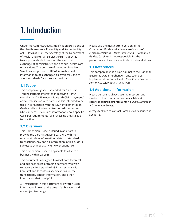# <span id="page-4-0"></span>1. Introduction

Under the Administrative Simplification provisions of the Health Insurance Portability and Accountability Act (HIPAA) of 1996, the Secretary of the Department of Health and Human Services (HHS) is directed to adopt standards to support the electronic exchange of administrative and financial health care transactions. The purpose of the Administrative Simplification portion of HIPAA is enable health information to be exchanged electronically and to adopt standards for those transactions.

### **1.1 Scope**

This companion guide is intended for CareFirst Trading Partners interested in receiving HIPAA compliant X12 835 electronic Health Claim payment/ advice transaction with CareFirst. It is intended to be used in conjunction with the X12N Implementation Guide and is not intended to contradict or exceed X12 standards. It contains information about specific CareFirst requirements for processing the X12 835 transaction.

### **1.2 Overview**

This Companion Guide is issued in an effort to provide the CareFirst trading partners with the most up-to-date information related to standard transactions. Any and all information in this guide is subject to change at any time without notice.

This Companion Guide is applicable to all lines of business within CareFirst.

This document is designed to assist both technical and business areas of trading partners who wish to receive HIPAA standard 835 transactions with CareFirst, Inc. It contains specifications for the transactions, contact information, and other information that is helpful.

All instructions in this document are written using information known at the time of publication and are subject to change.

Please use the most current version of the Companion Guide available at **[carefirst.com/](http://www.carefirst.com/electronicclaims) [electronicclaims](http://www.carefirst.com/electronicclaims)** > *Claims Submission* > *Companion Guides*. CareFirst is not responsible for the performance of software outside of its installations.

### **1.3 References**

This companion guide is an adjunct to the National Electronic Data Interchange Transaction Set Implementation Guide Health Care Claim Payment/ Advice ASC X12N (005010X221A1)

# **1.4 Additional information**

Please be sure to always use the most current version of the companion guide available at **[carefirst.com/electronicclaims](http://www.carefirst.com/electronicclaims)** > *Claims Submission*  > *Companion Guides*.

Always feel free to contact CareFirst as described in Section 5.

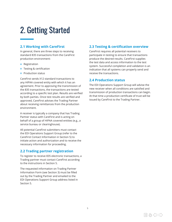# <span id="page-5-0"></span>2. Getting Started

# **2.1 Working with CareFirst**

In general, there are three steps to receiving standard 835 transactions from the CareFirst production environment:

- Registration
- Testing & certification
- Production status

CareFirst sends X12 standard transactions to any HIPAA covered entity with which it has an agreement. Prior to approving the transmission of the 835 transactions, the transactions are tested according to a specific test plan. Results are verified by both parties. Once test results are verified and approved, CareFirst advises the Trading Partner about receiving remittances from the production environment.

A receiver is typically a company that has Trading Partner status with CareFirst and is acting on behalf of a group of HIPAA covered entities (e.g., a service bureau or clearinghouse).

All potential CareFirst submitters must contact the EDI Operations Support Group (refer to the CareFirst Contact Information in Section 5) to initiate action and authorization and to receive the necessary information for proceeding.

### **2.2 Trading partner registration**

To register to receive 835 electronic transactions, a Trading partner must contact CareFirst according to the instructions in Section 5.

The requested information on Trading Partner Information Form (see Section 3) must be filled out by the Trading Partner and emailed to the EDI Operations Support Group address listed in Section 5.

### **2.3 Testing & certification overview**

CareFirst requires all potential receivers to participate in testing to ensure that transactions produce the desired results. CareFirst supplies the test data and access information to the test system. Successful completion and validation is an indication that all systems can properly send and receive the transactions.

### **2.4 Production status**

The EDI Operations Support Group will advise the new receiver when all conditions are satisfied and transmission of production transactions can begin. At that time a production certificate of trust will be issued by CareFirst to the Trading Partner.

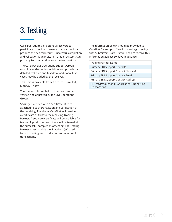# <span id="page-6-0"></span>3. Testing

CareFirst requires all potential receivers to participate in testing to ensure that transactions produce the desired results. Successful completion and validation is an indication that all systems can properly transmit and receive the transactions.

The CareFirst EDI Operations Support Group coordinates the testing activities and provides a detailed test plan and test data. Additional test cases may be added by the receiver.

Test time is available from 9 a.m. to 5 p.m. EST, Monday–Friday.

The successful completion of testing is to be verified and approved by the EDI Operations Group.

Security is verified with a certificate of trust attached to each transaction and verification of the receiving IP address. CareFirst will provide a certificate of trust to the receiving Trading Partner. A separate certificate will be available for testing. A production certificate will be issued at the successful completion of testing. The Trading Partner must provide the IP address(es) used for both testing and production submission of transactions.

The information below should be provided to CareFirst for setup so CareFirst can begin testing with Submitters. CareFirst will need to receive this information at least 30 days in advance.

Trading Partner Name:

Primary EDI Support Contact:

Primary EDI Support Contact Phone #:

Primary EDI Support Contact Email:

Primary EDI Support Contact Address:

TP Test/Production IP Address(es) Submitting Transactions: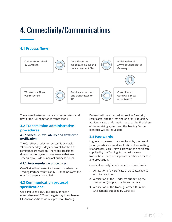# <span id="page-7-0"></span>4. Connectivity/Communications

# **4.1 Process flows**



The above illustrates the basic creation steps and flow of the 835 remittance transactions.

### **4.2 Transmission administrative procedures**

#### **4.2.1 Schedule, availability and downtime notification**

The CareFirst production system is available 24 hours per day, 7 days per week for the 835 remittance transaction. There are occasional downtimes for system maintenance that are scheduled outside of normal business hours.

#### **4.2.2 Re-transmission procedures**

CareFirst will retransmit a transaction when the Trading Partner returns an MDN that indicates the original transmission failed.

### **4.3 Communication protocol specifications**

CareFirst uses TIBCO BusinessConnect™ enterprise-level B2B as the gateway to exchange HIPAA transactions via AS2 protocol. Trading

Partners will be expected to provide 2 security certificates, one for Test and one for Production. Additional setup information such as the IP address of the receiving system and the Trading Partner Identifier will be requested.

### **4.4 Passwords**

Logon and passwords are replaced by the use of security certificates and verification of submitting IP addresses. CareFirst will transmit the certificate supplied by the Trading Partner with every transaction. There are separate certificates for test and production.

CareFirst security is maintained on three levels:

- 1. Verification of a certificate of trust attached to each transaction.
- 2. Verification of the IP address submitting the transaction (supplied by the submitter).
- 3. Verification of the Trading Partner ID (in the ISA segment) supplied by CareFirst.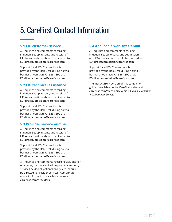# <span id="page-8-0"></span>5. CareFirst Contact Information

### **5.1 EDI customer service**

All inquiries and comments regarding initiation, set-up, testing, and receipt of HIPAA transactions should be directed to **[EDIdirectsubmission@carefirst.com](mailto:EDIdirectsubmission%40carefirst.com?subject=)**.

Support for all EDI Transactions is provided by the HelpDesk during normal business hours at (877) 526-8390 or at **[EDIdirectsubmission@carefirst.com](mailto:EDIdirectsubmission%40carefirst.com?subject=)**.

# **5.2 EDI technical assistance**

All inquiries and comments regarding initiation, set-up, testing, and receipt of HIPAA transactions should be directed to **[EDIdirectsubmission@carefirst.com](mailto:EDIdirectsubmission%40carefirst.com?subject=)**.

Support for all EDI Transactions is provided by the HelpDesk during normal business hours at (877) 526-8390 or at **[EDIdirectsubmission@carefirst.com](mailto:EDIdirectsubmission%40carefirst.com?subject=)**.

# **5.3 Provider service number**

All inquiries and comments regarding initiation, set-up, testing, and receipt of HIPAA transactions should be directed to **[EDIdirectsubmission@carefirst.com](mailto:EDIdirectsubmission%40carefirst.com?subject=)**.

Support for all EDI Transactions is provided by the HelpDesk during normal business hours at (877) 526-8390 or at **[EDIdirectsubmission@carefirst.com](mailto:EDIdirectsubmission%40carefirst.com?subject=)**.

All inquiries and comments regarding adjudication outcomes, such as service line payment amount, service line denial, patient liability, etc., should be directed to Provider Services. Appropriate contact information is available online at **[carefirst.com/providers](http://www.carefirst.com/providers)**.

# **5.4 Applicable web-sites/email**

All inquiries and comments regarding initiation, set-up, testing, and submission of HIPAA transactions should be directed to **[EDIdirectsubmission@carefirst.com](mailto:EDIdirectsubmission%40carefirst.com?subject=)**.

Support for all EDI Transactions is provided by the HelpDesk during normal business hours at (877) 526-8390 or at **[EDIdirectsubmission@carefirst.com](mailto:EDIdirectsubmission%40carefirst.com?subject=)**.

The most current version of this companion guide is available on the CareFirst website at **[carefirst.com/electronicclaims](http://carefirst.com/electronicclaims)** > *Claims Submission*  > *Companion Guides*.

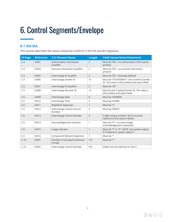# <span id="page-9-0"></span>[6. Control Segments/Envelope](mailto:EDIdirectsubmission%40carefirst.com?subject=)

# **6.1 ISA-IEA**

This section describes the values utilized by CareFirst in the ISA and IEA segments.

| <b>IG Page</b> | <b>Reference</b>  | <b>X12 Element Name</b>                 | <b>Length</b>  | <b>Valid Values/Notes/Comments</b>                                                            |
|----------------|-------------------|-----------------------------------------|----------------|-----------------------------------------------------------------------------------------------|
| C.4            | ISA01             | Authorization Information<br>Qualifier  | $\overline{2}$ | Must be "00"-no authorization information<br>present.                                         |
| C.4            | <b>ISA03</b>      | Security Information Qualifier          | $\overline{2}$ | Must be "00"-no security information<br>present.                                              |
| C.4            | <b>ISA05</b>      | Interchange ID Qualifier                | $\overline{2}$ | Must be "ZZ"-Mutually defined                                                                 |
| C.4            | <b>ISA06</b>      | Interchange Sender ID                   | 15             | Must be "CFGATEWAY"-the CareFirst Sender<br>ID. The value is left justified and space filled. |
| C.5            | ISA07             | Interchange ID Qualifier                | $\overline{2}$ | Must be "ZZ"                                                                                  |
| C.5            | ISA08             | Interchange Receiver ID                 | 15             | Must be the Trading Partner ID. The value is<br>left justified and space filled.              |
| C.5            | ISA09             | Interchange Date                        | 6              | Must be YYMMDD                                                                                |
| C.5            | ISA <sub>10</sub> | Interchange Time                        | 4              | Must be HHMM                                                                                  |
| C.5            | <b>ISA11</b>      | <b>Repetition Separator</b>             | 1              | Must be "{"                                                                                   |
| C.5            | ISA12             | Interchange Control Version<br>Number   | 5              | Must be "00501"                                                                               |
| C.5            | <b>ISA13</b>      | Interchange Control Number              | 9              | 9 digit unique number. ISA13 must be<br>identical to the value in IEA02.                      |
| C.6            | ISA14             | Acknowledgement Indicator               | 1              | Must be "0"-no interchange<br>acknowledgement requested.                                      |
| C.6            | <b>ISA15</b>      | Usage Indicator                         | 1              | Must be "T" or "P". NOTE: test system rejects<br>P; Production system rejects T.              |
| C.6            | <b>ISA16</b>      | Component Element Separator             | 1              | Must be ":"                                                                                   |
| C.10           | IEA01             | Number of included Functional<br>Groups | 1/5            | Must be "1"                                                                                   |
| C.10           | IEA02             | Interchange Control Number              | 9/9            | IEA02 must be identical to ISA13                                                              |

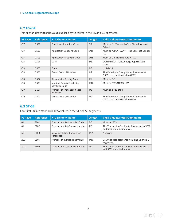#### <span id="page-10-0"></span>**6. Control Segments/Envelope**

### **6.2 GS-GE**

| <b>IG Page</b> | <b>Reference</b> | <b>X12 Element Name</b>                              | Length | <b>Valid Values/Notes/Comments</b>                                        |
|----------------|------------------|------------------------------------------------------|--------|---------------------------------------------------------------------------|
| C.7            | GS01             | <b>Functional Identifier Code</b>                    | 2/2    | Must be "HP"-Health Care Claim Payment/<br>Advice                         |
| C.7            | GSO2             | Application Sender's Code                            | 2/15   | Must be "CFGATEWAY"-the CareFirst Sender<br>ID.                           |
| C.7            | GS03             | Application Receiver's Code                          | 2/15   | Must be the Trading Partner ID.                                           |
| C.8            | GS04             | Date                                                 | 8/8    | CCYYMMDD-Functional group creation<br>date.                               |
| C.8            | GS05             | Time                                                 | 4/8    | <b>HHMMSS</b>                                                             |
| C.8            | GS06             | Group Control Number                                 | 1/9    | The Functional Group Control Number in<br>GS06 must be identical to GE02. |
| C.8            | <b>GS07</b>      | Responsible Agency Code                              | 1/2    | Must be "X"                                                               |
| C.8            | GS08             | Version/ Release/ Industry<br><b>Identifier Code</b> | 1/12   | Must be "005010X221A1"                                                    |
| C.9            | GE01             | Number of Transaction Sets<br>Included               | 1/6    | Must be populated                                                         |
| C.9            | GE02             | Group Control Number                                 | 1/9    | The Functional Group Control Number in<br>GE02 must be identical to GS06. |

This section describes the values utilized by CareFirst in the GS and GE segments.

### **6.3 ST-SE**

CareFirst utilizes standard HIPAA values in the ST and SE segments.

| <b>IG Page</b> | <b>Reference</b> | X12 Element Name                       | Length | <b>Valid Values/Notes/Comments</b>                                         |
|----------------|------------------|----------------------------------------|--------|----------------------------------------------------------------------------|
| 61             | ST <sub>01</sub> | Transaction Set Identifier Code        | 3/3    | Must be "835"                                                              |
| 61             | ST <sub>02</sub> | <b>Transaction Set Control Number</b>  | 4/9    | The Transaction Set Control Numbers in ST02<br>and SE02 must be identical. |
| 62             | ST03             | Implementation Convention<br>Reference | 1/35   | Not used                                                                   |
| 200            | SE <sub>01</sub> | Number of Included Segments            | 1/10   | Count of data segments including ST and SE<br>Segments.                    |
| 200            | SE <sub>02</sub> | <b>Transaction Set Control Number</b>  | 4/9    | The Transaction Set Control Numbers in ST02<br>and SE02 must be identical. |

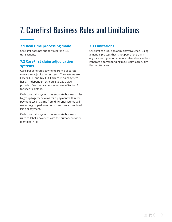# <span id="page-11-0"></span>7. CareFirst Business Rules and Limitations

# **7.1 Real time processing mode**

CareFirst does not support real time 835 transactions.

# **7.2 CareFirst claim adjudication systems**

CareFirst generates payments from 3 separate core claim adjudication systems. The systems are Facets, FEP, and NASCO. Each core claim system has an independent schedule to pay a given provider. See the payment schedule in Section 11 for specific details.

Each core claim system has separate business rules to group together claims for a payment within the payment cycle. Claims from different systems will never be grouped together to produce a combined (single) payment.

Each core claim system has separate business rules to label a payment with the primary provider identifier (NPI).

# **7.3 Limitations**

CareFirst can issue an administrative check using a manual process that is not part of the claim adjudication cycle. An administrative check will not generate a corresponding 835 Health Care Claim Payment/Advice.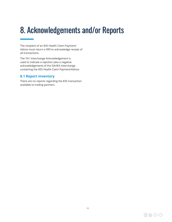# <span id="page-12-0"></span>8. Acknowledgements and/or Reports

The recipient of an 835 Health Claim Payment/ Advice must return a 999 to acknowledge receipt of all transactions.

The TA1 Interchange Acknowledgement is used to indicate a rejection (aka a negative acknowledgement) of the ISA/IEA Interchange containing the 835 Health Claim Payment/Advice.

### **8.1 Report inventory**

There are no reports regarding the 835 transaction available to trading partners.

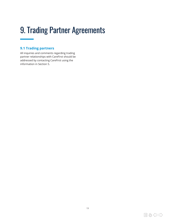# <span id="page-13-0"></span>9. Trading Partner Agreements

# **9.1 Trading partners**

All inquiries and comments regarding trading partner relationships with CareFirst should be addressed by contacting CareFirst using the information in Section 5.

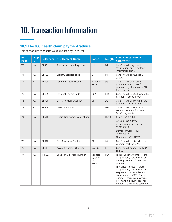# <span id="page-14-0"></span>10. Transaction Information

# **10.1 The 835 health claim payment/advice**

This section describes the values utilized by CareFirst.

| IG<br>Page | Loop<br>ID |       | Reference   X12 Element Name     | <b>Codes</b>                           | Length | <b>Valid Values/Notes/</b><br><b>Comments</b>                                                                                                                                                                                                                                                                                                |
|------------|------------|-------|----------------------------------|----------------------------------------|--------|----------------------------------------------------------------------------------------------------------------------------------------------------------------------------------------------------------------------------------------------------------------------------------------------------------------------------------------------|
| 70         | <b>NA</b>  | BPR01 | <b>Transaction Handling code</b> | H, I                                   | 1/2    | CareFirst will only use H<br>(notification) or I (remittance<br>information only).                                                                                                                                                                                                                                                           |
| 71         | <b>NA</b>  | BPR03 | Credit/Debit Flag code           | C                                      | 1/1    | CareFirst will always use C<br>(credit).                                                                                                                                                                                                                                                                                                     |
| 72         | <b>NA</b>  | BPR04 | Payment Method Code              | ACH, CHK,<br><b>NON</b>                | 3/3    | CareFirst will use ACH for<br>payments by EFT, CHK for<br>payments by check, and NON<br>for no payment.                                                                                                                                                                                                                                      |
| 72         | <b>NA</b>  | BPR05 | Payment Format Code              | <b>CCP</b>                             | 1/10   | CareFirst will use CCP when the<br>payment method is ACH.                                                                                                                                                                                                                                                                                    |
| 73         | <b>NA</b>  | BPR06 | DFI ID Number Qualifier          | 01                                     | 2/2    | CareFirst will use 01 when the<br>payment method is ACH.                                                                                                                                                                                                                                                                                     |
| 73         | <b>NA</b>  | BPR09 | <b>Account Number</b>            |                                        | 1/35   | CareFirst will use separate<br>account numbers for CFMI and<br>GHMSI payments.                                                                                                                                                                                                                                                               |
| 74         | <b>NA</b>  | BPR10 | Originating Company Identifier   |                                        | 10/10  | CFMI: 1521385894<br>GHMSI: 1530078070<br>BlueChoice: 1530078070,<br>1521358219<br>Dental Network HMO:<br>1521840919<br>First Care: 1521962376                                                                                                                                                                                                |
| 75         | <b>NA</b>  | BPR12 | DFI ID Number Qualifier          | 01                                     | 2/2    | CareFirst will use 01 when the<br>payment method is ACH.                                                                                                                                                                                                                                                                                     |
| 76         | <b>NA</b>  | BPR14 | Account Number Qualifier         | DA, SG                                 | 1/3    | CareFirst will support both DA<br>and SG.                                                                                                                                                                                                                                                                                                    |
| 77         | <b>NA</b>  | TRN02 | <b>Check or EFT Trace Number</b> | Variable<br>by Core<br>claim<br>system | 1/50   | Facets: Voucher number if there<br>is a payment; date + internal<br>tracking number if there is no<br>payment.<br>FEP: Check number if there<br>is a payment; date + internal<br>sequence number if there is<br>no payment. NASCO: Check<br>number if there is a payment;<br>F + financial document serial<br>number if there is no payment. |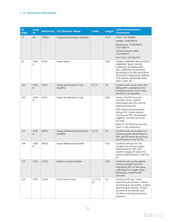| <b>IG</b><br>Page | Loop<br>ID | <b>Reference</b> | <b>X12 Element Name</b>                      | <b>Codes</b>      | Length | <b>Valid Values/Notes/</b><br><b>Comments</b>                                                                                                                                                                                                                                                                      |
|-------------------|------------|------------------|----------------------------------------------|-------------------|--------|--------------------------------------------------------------------------------------------------------------------------------------------------------------------------------------------------------------------------------------------------------------------------------------------------------------------|
| 77                | <b>NA</b>  | TRN03            | Originating Company Identifier               |                   | 10/10  | CFMI: 1521385894                                                                                                                                                                                                                                                                                                   |
|                   |            |                  |                                              |                   |        | GHMSI: 1530078070                                                                                                                                                                                                                                                                                                  |
|                   |            |                  |                                              |                   |        | BlueChoice: 1530078070,<br>1521358219                                                                                                                                                                                                                                                                              |
|                   |            |                  |                                              |                   |        | Dental Network HMO:<br>1521840919                                                                                                                                                                                                                                                                                  |
|                   |            |                  |                                              |                   |        | First Care: 1521962376                                                                                                                                                                                                                                                                                             |
| 87                | 1000<br>Α  | N <sub>102</sub> | Payer Name                                   |                   | 1/60   | GHMSI, CAREFIRST BLUECHOICE,<br>CAREFIRST BLUE CHOICE,<br>CAREFIRST OF MARYLAND<br>INC, CAREFIRST BLUECROSS<br>BLUESHIELD OF MD, NATIONAL<br>ACCOUNTS DEDICATED SERVICE,<br>THE DENTAL NETWORK HMO,<br>FIRST CARE, INC.                                                                                            |
| 103               | 1000<br>B  | N103             | Payee Identification Code<br>Qualifier       | XX, FI            | 1/2    | CareFirst will use XX when the<br>billing NPI is available at the<br>remittance level, and FI when<br>the NPI is not available.                                                                                                                                                                                    |
| 103               | 1000<br>B  | N104             | Payee Identification Code                    |                   | 2/80   | Facets: The NPI from the<br>provider source system<br>(associated with the internal<br>legacy provider ID).<br>FEP: Claims are grouped by<br>billing. NPI. Claims that do<br>not have an NPI are grouped<br>together, and the tax ID will<br>be used.<br>NASCO: The NPI from the first<br>claim in the remittance. |
| 107               | 1000<br>B  | REF01            | Payee Additional Identification<br>Qualifier | TJ, PQ            | 2/3    | CareFirst will use TJ when the<br>primary payee identification is<br>NPI, and PQ when the primary<br>identification is the Tax ID.                                                                                                                                                                                 |
| 108               | 1000<br>B  | REF02            | Payee Additional Identifier                  |                   | 1/50   | CareFirst will use the Tax<br>ID when the primary payee<br>identification is NPI, and<br>CareFirst legacy ID when the<br>primary identification is the Tax<br>ID.                                                                                                                                                  |
| 123               | 2100       | CLP01            | <b>Patient Control Number</b>                |                   | 1/38   | CareFirst will use the patient<br>control number from the<br>originating 837, or the value<br>submitted on a paper claim.<br>Otherwise, CareFirst will<br>use zero.                                                                                                                                                |
| 124               | 2100       | CLP02            | Claim Status Code                            | 1, 2, 3, 4,<br>22 | 1/2    | CareFirst will use 1 when<br>processing as primary, 2 when<br>processing as secondary, 3 when<br>processing as tertiary, 4 when<br>all services are denied, and<br>22 when reversing a previous<br>payment.                                                                                                        |

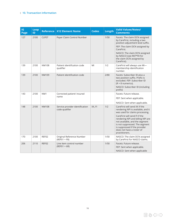#### **10. Transaction Information**

| <b>IG</b><br>Page | Loop<br>ID | <b>Reference</b> | <b>X12 Element Name</b>                           | <b>Codes</b> | Length | <b>Valid Values/Notes/</b><br><b>Comments</b>                                                                                                                                                                                                                                                                                    |
|-------------------|------------|------------------|---------------------------------------------------|--------------|--------|----------------------------------------------------------------------------------------------------------------------------------------------------------------------------------------------------------------------------------------------------------------------------------------------------------------------------------|
| 127               | 2100       | CLP07            | Payer Claim Control Number                        |              | 1/50   | Facets: The claim DCN assigned<br>by CareFirst, including a two<br>position adjustment level suffix.<br>FEP: The claim DCN assigned by<br>CareFirst.<br>NASCO: The claim DCN assigned<br>by NASCO (see REF*F8 for<br>the claim DCN assigned by<br>CareFirst).                                                                    |
| 139               | 2100       | <b>NM108</b>     | Patient identification code<br>qualifier          | MI           | 1/2    | CareFirst will always use MI-<br>membership identification<br>number.                                                                                                                                                                                                                                                            |
| 139               | 2100       | NM109            | Patient identification code                       |              | 2/80   | Facets: Subscriber ID plus a<br>two position suffix. Prefix is<br>excluded. FEP: Subscriber ID<br>$(R + 8$ numerics).<br>NASCO: Subscriber ID (including<br>prefix)                                                                                                                                                              |
| 143               | 2100       | NM <sub>1</sub>  | Corrected patient/ insured                        |              |        | Facets: Future release.                                                                                                                                                                                                                                                                                                          |
|                   |            |                  | name                                              |              |        | FEP: Sent when applicable.                                                                                                                                                                                                                                                                                                       |
|                   |            |                  |                                                   |              |        | NASCO: Sent when applicable.                                                                                                                                                                                                                                                                                                     |
| 148               | 2100       | <b>NM108</b>     | Service provider identification<br>code qualifier | XX, FI       | 1/2    | CareFirst will send XX if the<br>rendering NPI is available, and it<br>was used for claims processing.<br>CareFirst will send FI if the<br>rendering NPI and billing NPI are<br>not available, and the segment<br>is not suppressed. The segment<br>is suppressed if the provider<br>does not have a roster of<br>practitioners. |
| 170               | 2100       | REF02            | Original Reference Number<br>$(REF01 = F8)$       |              | 1/50   | NASCO: The claim DCN assigned<br>by CareFirst for NASCO claims.                                                                                                                                                                                                                                                                  |
| 206               | 2110       | REF02            | Line item control number                          |              | 1/50   | Facets: Future release.                                                                                                                                                                                                                                                                                                          |
|                   |            |                  | $(REF01 = 6R)$                                    |              |        | FEP: Sent when applicable.                                                                                                                                                                                                                                                                                                       |
|                   |            |                  |                                                   |              |        | NASCO: Sent when applicable                                                                                                                                                                                                                                                                                                      |

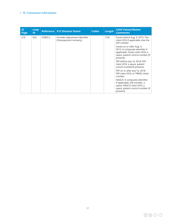#### **10. Transaction Information**

| <b>IG</b><br>Page | Loop<br>ID |         | Reference   X12 Element Name                             | <b>Codes</b> | Length | <b>Valid Values/Notes/</b><br><b>Comments</b>                                                                                                      |
|-------------------|------------|---------|----------------------------------------------------------|--------------|--------|----------------------------------------------------------------------------------------------------------------------------------------------------|
| 218               | N/A        | PLB03-2 | Provider Adjustment Identifier<br>(Overpayment recovery) |              | 1/50   | Facets before Aug. 9, 2015: The<br>claim DCN if applicable, else the<br>A/R number.                                                                |
|                   |            |         |                                                          |              |        | Facets on or after Aug. 9,<br>2015: A composite identifier if<br>applicable: Facets claim DCN, a<br>space, patient control number (if<br>present). |
|                   |            |         |                                                          |              |        | FEP before July 16, 2018: FEP<br>claim DCN, a space, patient<br>control number(if present).                                                        |
|                   |            |         |                                                          |              |        | FEP on or after July 16, 2018:<br>FEP claim DCN, or TRN02 check<br>number.                                                                         |
|                   |            |         |                                                          |              |        | NASCO: A composite identifier<br>if applicable: A/R number, a<br>space, NASCO claim DCN, a<br>space, patient control number (if<br>present).       |

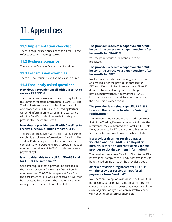# <span id="page-18-0"></span>11. Appendices

### **11.1 Implementation checklist**

There is no published checklist at this time. Please refer to section 2 'Getting Started'.

### **11.2 Business scenarios**

There are no Business Scenarios at this time.

### **11.3 Transmission examples**

There are no Transmission Examples at this time.

### **11.4 Frequently asked questions**

### **How does a provider enroll with CareFirst to receive ERA/835s?**

The provider must work with their Trading Partner to submit enrollment information to CareFirst. The Trading Partners agree to collect information in compliance with CORE rule 382. Trading Partners will send information to CareFirst in accordance with the CareFirst submitter guide to set-up a provider to receive an ERA/835.

### **How does a provider enroll with CareFirst to receive Electronic Funds Transfer (EFT)?**

The provider must work with their Trading Partner to submit enrollment information to CareFirst. The Trading Partners agree to collect information in compliance with CORE rule 380. A provider must be enrolled to receive an ERA/835 in order to receive payment by EFT.

#### **Is a provider able to enroll for ERA/835 and for EFT at the same time?**

CareFirst requires that a provider be enrolled in the CareFirst system for ERA/835 first. When the enrollment for ERA/835 is complete at CareFirst, if the enrollment for EFT was also received it will then be processed by CareFirst. The Trading Partner will manage the sequence of enrollment steps.

### **The provider receives a paper voucher. Will he continue to receive a paper voucher after he enrolls for ERA/835?**

Yes, the paper voucher will continue to be produced.

### **The provider receives a paper voucher. Will he continue to receive a paper voucher after he enrolls for EFT?**

No, the paper voucher will no longer be produced and mailed, after the provider is enrolled for EFT. Your Electronic Remittance Advice (ERA/835) delivered by your clearinghouse will be your new payment voucher. A copy of the ERA/835 information can also be retrieved online through the CareFirst provider portal.

### **The provider is missing a specific ERA/835. How can the provider locate the "missing" remittances?**

The provider should contact their Trading Partner first. If the Trading Partner is not able to locate the remittance, they will contact the CareFirst EDI Help Desk, or contact the EDI department. See section 5.1 for contact information and further details.

### **If a provider does not receive a paper voucher, and the ERA/835 is delayed or missing, is there an alternative way for the provider to obtain payment information?**

The provider can access CareFirst Direct to see ERA information. A copy of the ERA/835 information can be retrieved online through the provider portal.

### **After a provider is registered for ERA/835, will the provider receive an ERA for all payments from CareFirst?**

No. There are exception cases where an ERA/835 is not created. CareFirst can issue an administrative check using a manual process that is not part of the claim adjudication cycle. An administrative check will not generate a corresponding ERA.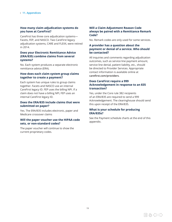#### **How many claim adjudication systems do you have at CareFirst?**

CareFirst has three core adjudication systems— Facets, FEP, and NASCO. Two CareFirst legacy adjudication systems, CARE and FLEXX, were retired in 2014.

#### **Does your Electronic Remittance Advice (ERA/835) combine claims from several systems?**

No. Each system produces a separate electronic remittance advice (ERA).

#### **How does each claim system group claims together to create a payment?**

Each system has unique rules to group claims together. Facets and NASCO use an internal CareFirst legacy ID. FEP uses the billing NPI. If a claim does not have a billing NPI, FEP uses an internal CareFirst legacy ID.

#### **Does the ERA/835 include claims that were submitted on paper?**

Yes. The ERA/835 includes electronic, paper and Medicare crossover claims

#### **Will the paper voucher use the HIPAA code sets, or non-standard codes?**

The paper voucher will continue to show the current proprietary codes.

#### **Will a Claim Adjustment Reason Code always be paired with a Remittance Remark Code?**

No. Remark codes are only used for some services.

#### **A provider has a question about the payment or denial of a service. Who should be contacted?**

All inquiries and comments regarding adjudication outcomes, such as service line payment amount, service line denial, patient liability, etc., should be directed to Provider Services. Appropriate contact information is available online at **[carefirst.com/providers](http://www.carefirst.com/providers)**.

### **Does CareFirst require a 999 Acknowledgement in response to an 835 transaction?**

Yes, under the Core rule 382 recipients of an ERA/835 are required to send a 999 Acknowledgement. The clearinghouse should send this upon receipt of the ERA/835.

### **What is your schedule for producing ERA/835s?**

See the Payment schedule charts at the end of this appendix.

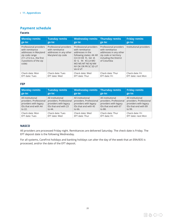### <span id="page-20-0"></span>**Payment schedule**

### **Facets**

| <b>Monday remits</b>                                                                                                                                | <b>Tuesday remits</b>                                                                    | <b>Wednesday remits</b>                                                                                                                                                                    | <b>Thursday remits</b>                                                                                                                | <b>Friday remits</b>    |
|-----------------------------------------------------------------------------------------------------------------------------------------------------|------------------------------------------------------------------------------------------|--------------------------------------------------------------------------------------------------------------------------------------------------------------------------------------------|---------------------------------------------------------------------------------------------------------------------------------------|-------------------------|
| go to:                                                                                                                                              | go to:                                                                                   | go to:                                                                                                                                                                                     | go to:                                                                                                                                | go to:                  |
| Professional providers<br>with remittance<br>addresses in Maryland<br>zip code range<br>211-212 (i.e., the first<br>3 positions of the zip<br>code) | Professional providers<br>with remittance<br>addresses in any other<br>Maryland zip code | Professional providers<br>with remittance<br>addresses in the<br>following states: AK AR<br>CA CO DE FL GA IA<br>ID IL IN KS LAMO<br>MO MS MT NE NJ NM<br>NY OK OR PR SC SD UT<br>VA VI VT | Professional providers<br>with remittance<br>addresses in any other<br>zip code or territory<br>including the District<br>of Columbia | Institutional providers |
| Check date: Mon                                                                                                                                     | Check date: Tues                                                                         | Check date: Wed                                                                                                                                                                            | Check date: Thur                                                                                                                      | Check date: Fri         |
| EFT date: Tues                                                                                                                                      | EFT date: Wed                                                                            | EFT date: Thur                                                                                                                                                                             | EFT date: Fri                                                                                                                         | EFT date: next Mon      |

#### **FEP**

| <b>Monday remits</b>    | <b>Tuesday remits</b>   | <b>Wednesday remits</b> | Thursday remits         | <b>Friday remits</b>    |
|-------------------------|-------------------------|-------------------------|-------------------------|-------------------------|
| go to:                  | go to:                  | go to:                  | go to:                  | go to:                  |
| All institutional       | All institutional       | All institutional       | All institutional       | All institutional       |
| providers. Professional | providers. Professional | providers. Professional | providers. Professional | providers. Professional |
| providers with legacy   | providers with legacy   | providers with legacy   | providers with legacy   | providers with legacy   |
| IDs that end with AA    | IDs that end with 23    | IDs that end with 45    | IDs that end with 67    | IDs that end with 89    |
| to 22.                  | to 44.                  | to $66.$                | to 88.                  | to 99.                  |
| Check date: Mon         | Check date: Tues        | Check date: Wed         | Check date: Thur        | Check date: Fri         |
| EFT date: Tues          | EFT date: Wed           | EFT date: Thur          | EFT date: Fri           | EFT date: next Mon      |

### **NASCO**

All providers are processed Friday night. Remittances are delivered Saturday. The check date is Friday. The EFT deposit date is the following Wednesday.

For all systems, CareFirst holidays and banking holidays can alter the day of the week that an ERA/835 is processed, and/or the date of the EFT deposit.